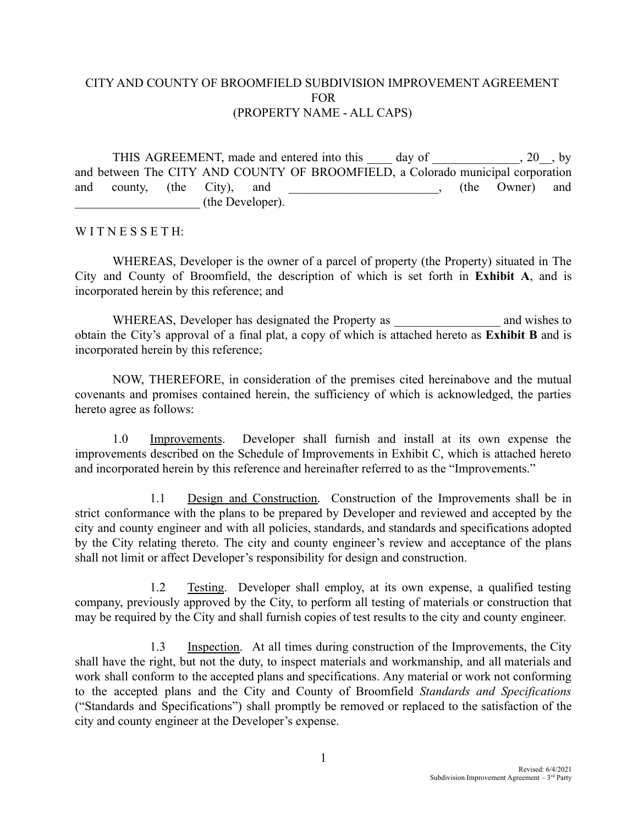## CITY AND COUNTY OF BROOMFIELD SUBDIVISION IMPROVEMENT AGREEMENT FOR (PROPERTY NAME - ALL CAPS)

THIS AGREEMENT, made and entered into this day of 3.20 by and between The CITY AND COUNTY OF BROOMFIELD, a Colorado municipal corporation and county, (the City), and  $\qquad \qquad$  (the Owner) and \_\_\_\_\_\_\_\_\_\_\_\_\_\_\_\_\_\_\_\_ (the Developer).

## WITNESSETH<sup>.</sup>

WHEREAS, Developer is the owner of a parcel of property (the Property) situated in The City and County of Broomfield, the description of which is set forth in **Exhibit A**, and is incorporated herein by this reference; and

WHEREAS, Developer has designated the Property as  $\qquad$  and wishes to obtain the City's approval of a final plat, a copy of which is attached hereto as **Exhibit B** and is incorporated herein by this reference;

NOW, THEREFORE, in consideration of the premises cited hereinabove and the mutual covenants and promises contained herein, the sufficiency of which is acknowledged, the parties hereto agree as follows:

1.0 Improvements. Developer shall furnish and install at its own expense the improvements described on the Schedule of Improvements in Exhibit C, which is attached hereto and incorporated herein by this reference and hereinafter referred to as the "Improvements."

1.1 Design and Construction. Construction of the Improvements shall be in strict conformance with the plans to be prepared by Developer and reviewed and accepted by the city and county engineer and with all policies, standards, and standards and specifications adopted by the City relating thereto. The city and county engineer's review and acceptance of the plans shall not limit or affect Developer's responsibility for design and construction.

1.2 Testing. Developer shall employ, at its own expense, a qualified testing company, previously approved by the City, to perform all testing of materials or construction that may be required by the City and shall furnish copies of test results to the city and county engineer.

1.3 Inspection. At all times during construction of the Improvements, the City shall have the right, but not the duty, to inspect materials and workmanship, and all materials and work shall conform to the accepted plans and specifications. Any material or work not conforming to the accepted plans and the City and County of Broomfield *Standards and Specifications* ("Standards and Specifications") shall promptly be removed or replaced to the satisfaction of the city and county engineer at the Developer's expense.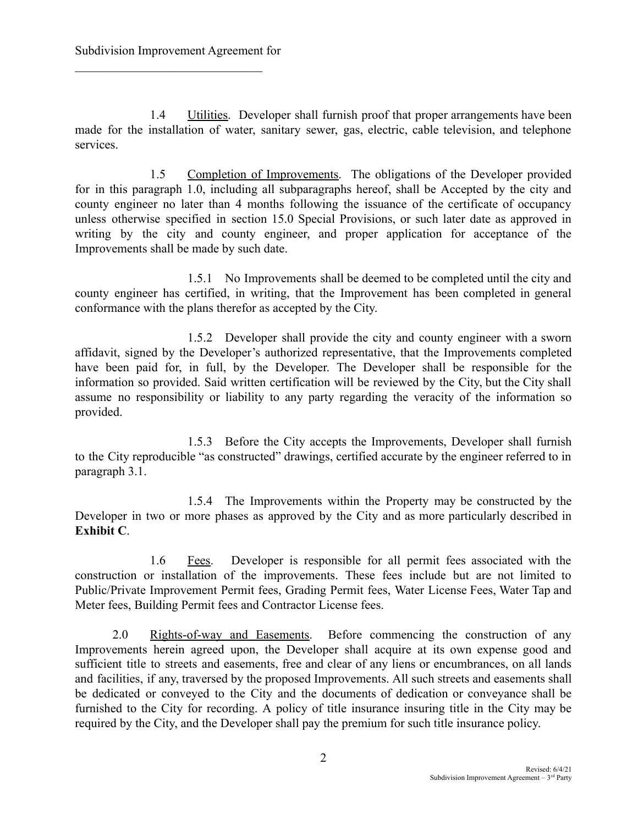1.4 Utilities. Developer shall furnish proof that proper arrangements have been made for the installation of water, sanitary sewer, gas, electric, cable television, and telephone services.

1.5 Completion of Improvements. The obligations of the Developer provided for in this paragraph 1.0, including all subparagraphs hereof, shall be Accepted by the city and county engineer no later than 4 months following the issuance of the certificate of occupancy unless otherwise specified in section 15.0 Special Provisions, or such later date as approved in writing by the city and county engineer, and proper application for acceptance of the Improvements shall be made by such date.

1.5.1 No Improvements shall be deemed to be completed until the city and county engineer has certified, in writing, that the Improvement has been completed in general conformance with the plans therefor as accepted by the City.

1.5.2 Developer shall provide the city and county engineer with a sworn affidavit, signed by the Developer's authorized representative, that the Improvements completed have been paid for, in full, by the Developer. The Developer shall be responsible for the information so provided. Said written certification will be reviewed by the City, but the City shall assume no responsibility or liability to any party regarding the veracity of the information so provided.

1.5.3 Before the City accepts the Improvements, Developer shall furnish to the City reproducible "as constructed" drawings, certified accurate by the engineer referred to in paragraph 3.1.

1.5.4 The Improvements within the Property may be constructed by the Developer in two or more phases as approved by the City and as more particularly described in **Exhibit C**.

1.6 Fees. Developer is responsible for all permit fees associated with the construction or installation of the improvements. These fees include but are not limited to Public/Private Improvement Permit fees, Grading Permit fees, Water License Fees, Water Tap and Meter fees, Building Permit fees and Contractor License fees.

2.0 Rights-of-way and Easements. Before commencing the construction of any Improvements herein agreed upon, the Developer shall acquire at its own expense good and sufficient title to streets and easements, free and clear of any liens or encumbrances, on all lands and facilities, if any, traversed by the proposed Improvements. All such streets and easements shall be dedicated or conveyed to the City and the documents of dedication or conveyance shall be furnished to the City for recording. A policy of title insurance insuring title in the City may be required by the City, and the Developer shall pay the premium for such title insurance policy.

2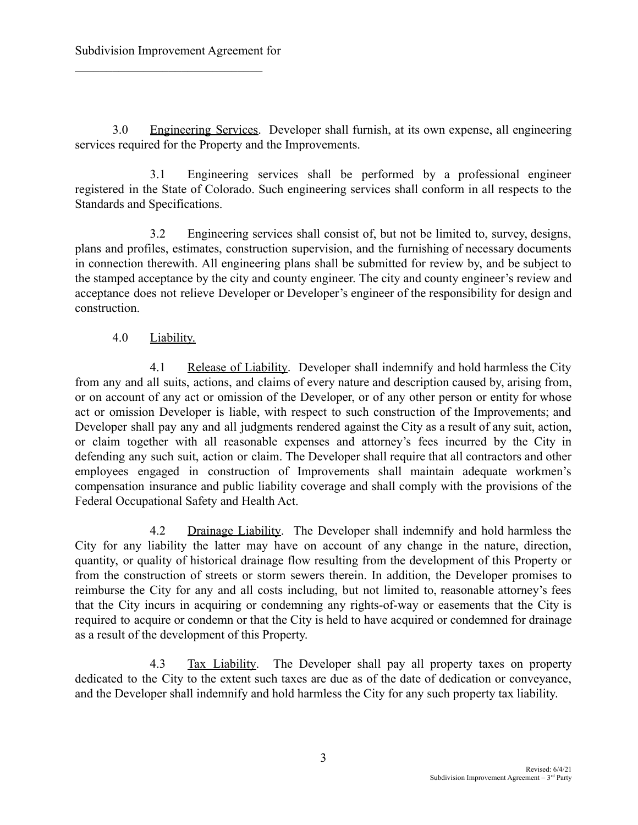3.0 Engineering Services. Developer shall furnish, at its own expense, all engineering services required for the Property and the Improvements.

3.1 Engineering services shall be performed by a professional engineer registered in the State of Colorado. Such engineering services shall conform in all respects to the Standards and Specifications.

3.2 Engineering services shall consist of, but not be limited to, survey, designs, plans and profiles, estimates, construction supervision, and the furnishing of necessary documents in connection therewith. All engineering plans shall be submitted for review by, and be subject to the stamped acceptance by the city and county engineer. The city and county engineer's review and acceptance does not relieve Developer or Developer's engineer of the responsibility for design and construction.

4.0 Liability.

4.1 Release of Liability. Developer shall indemnify and hold harmless the City from any and all suits, actions, and claims of every nature and description caused by, arising from, or on account of any act or omission of the Developer, or of any other person or entity for whose act or omission Developer is liable, with respect to such construction of the Improvements; and Developer shall pay any and all judgments rendered against the City as a result of any suit, action, or claim together with all reasonable expenses and attorney's fees incurred by the City in defending any such suit, action or claim. The Developer shall require that all contractors and other employees engaged in construction of Improvements shall maintain adequate workmen's compensation insurance and public liability coverage and shall comply with the provisions of the Federal Occupational Safety and Health Act.

4.2 Drainage Liability. The Developer shall indemnify and hold harmless the City for any liability the latter may have on account of any change in the nature, direction, quantity, or quality of historical drainage flow resulting from the development of this Property or from the construction of streets or storm sewers therein. In addition, the Developer promises to reimburse the City for any and all costs including, but not limited to, reasonable attorney's fees that the City incurs in acquiring or condemning any rights-of-way or easements that the City is required to acquire or condemn or that the City is held to have acquired or condemned for drainage as a result of the development of this Property.

4.3 Tax Liability. The Developer shall pay all property taxes on property dedicated to the City to the extent such taxes are due as of the date of dedication or conveyance, and the Developer shall indemnify and hold harmless the City for any such property tax liability.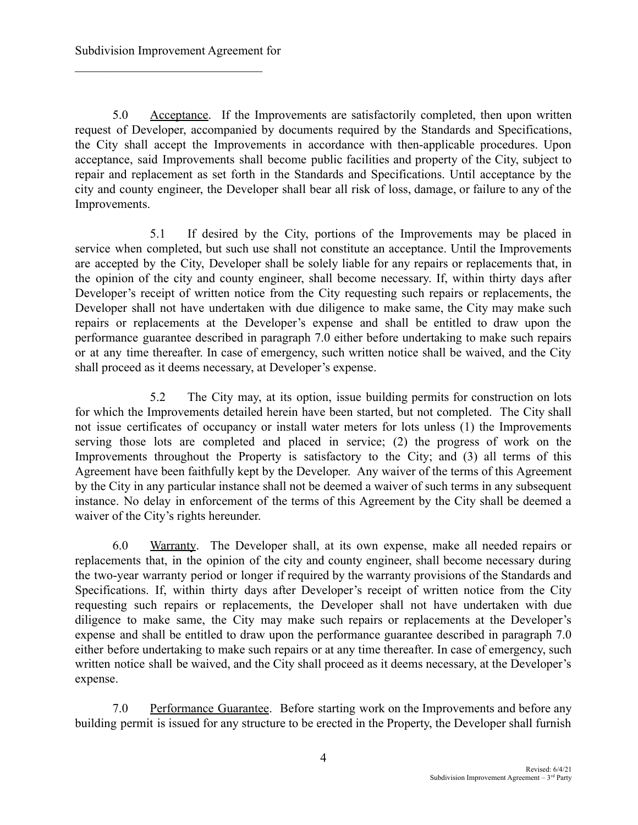5.0 Acceptance. If the Improvements are satisfactorily completed, then upon written request of Developer, accompanied by documents required by the Standards and Specifications, the City shall accept the Improvements in accordance with then-applicable procedures. Upon acceptance, said Improvements shall become public facilities and property of the City, subject to repair and replacement as set forth in the Standards and Specifications. Until acceptance by the city and county engineer, the Developer shall bear all risk of loss, damage, or failure to any of the Improvements.

5.1 If desired by the City, portions of the Improvements may be placed in service when completed, but such use shall not constitute an acceptance. Until the Improvements are accepted by the City, Developer shall be solely liable for any repairs or replacements that, in the opinion of the city and county engineer, shall become necessary. If, within thirty days after Developer's receipt of written notice from the City requesting such repairs or replacements, the Developer shall not have undertaken with due diligence to make same, the City may make such repairs or replacements at the Developer's expense and shall be entitled to draw upon the performance guarantee described in paragraph 7.0 either before undertaking to make such repairs or at any time thereafter. In case of emergency, such written notice shall be waived, and the City shall proceed as it deems necessary, at Developer's expense.

5.2 The City may, at its option, issue building permits for construction on lots for which the Improvements detailed herein have been started, but not completed. The City shall not issue certificates of occupancy or install water meters for lots unless (1) the Improvements serving those lots are completed and placed in service; (2) the progress of work on the Improvements throughout the Property is satisfactory to the City; and (3) all terms of this Agreement have been faithfully kept by the Developer. Any waiver of the terms of this Agreement by the City in any particular instance shall not be deemed a waiver of such terms in any subsequent instance. No delay in enforcement of the terms of this Agreement by the City shall be deemed a waiver of the City's rights hereunder.

6.0 Warranty. The Developer shall, at its own expense, make all needed repairs or replacements that, in the opinion of the city and county engineer, shall become necessary during the two-year warranty period or longer if required by the warranty provisions of the Standards and Specifications. If, within thirty days after Developer's receipt of written notice from the City requesting such repairs or replacements, the Developer shall not have undertaken with due diligence to make same, the City may make such repairs or replacements at the Developer's expense and shall be entitled to draw upon the performance guarantee described in paragraph 7.0 either before undertaking to make such repairs or at any time thereafter. In case of emergency, such written notice shall be waived, and the City shall proceed as it deems necessary, at the Developer's expense.

7.0 Performance Guarantee. Before starting work on the Improvements and before any building permit is issued for any structure to be erected in the Property, the Developer shall furnish

4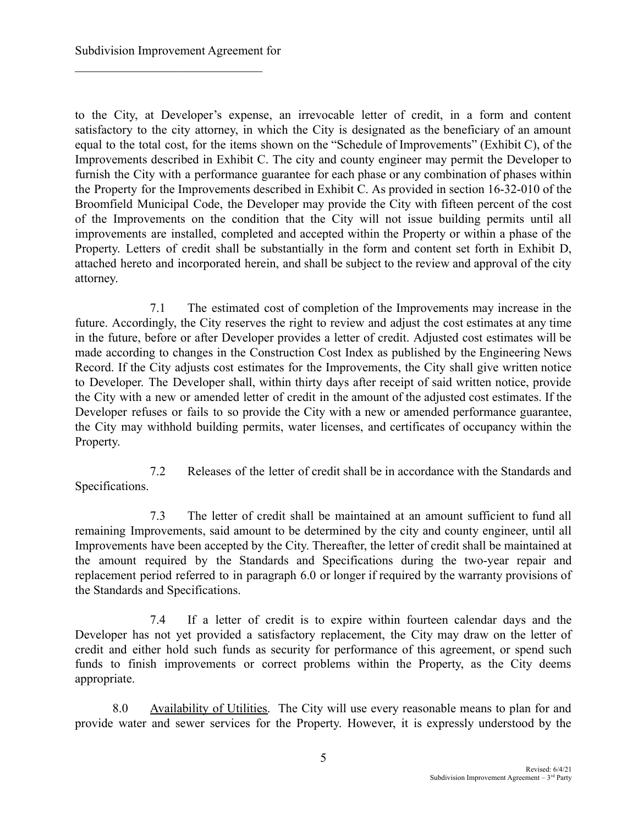to the City, at Developer's expense, an irrevocable letter of credit, in a form and content satisfactory to the city attorney, in which the City is designated as the beneficiary of an amount equal to the total cost, for the items shown on the "Schedule of Improvements" (Exhibit C), of the Improvements described in Exhibit C. The city and county engineer may permit the Developer to furnish the City with a performance guarantee for each phase or any combination of phases within the Property for the Improvements described in Exhibit C. As provided in section 16-32-010 of the Broomfield Municipal Code, the Developer may provide the City with fifteen percent of the cost of the Improvements on the condition that the City will not issue building permits until all improvements are installed, completed and accepted within the Property or within a phase of the Property. Letters of credit shall be substantially in the form and content set forth in Exhibit D, attached hereto and incorporated herein, and shall be subject to the review and approval of the city attorney.

7.1 The estimated cost of completion of the Improvements may increase in the future. Accordingly, the City reserves the right to review and adjust the cost estimates at any time in the future, before or after Developer provides a letter of credit. Adjusted cost estimates will be made according to changes in the Construction Cost Index as published by the Engineering News Record. If the City adjusts cost estimates for the Improvements, the City shall give written notice to Developer. The Developer shall, within thirty days after receipt of said written notice, provide the City with a new or amended letter of credit in the amount of the adjusted cost estimates. If the Developer refuses or fails to so provide the City with a new or amended performance guarantee, the City may withhold building permits, water licenses, and certificates of occupancy within the Property.

7.2 Releases of the letter of credit shall be in accordance with the Standards and Specifications.

7.3 The letter of credit shall be maintained at an amount sufficient to fund all remaining Improvements, said amount to be determined by the city and county engineer, until all Improvements have been accepted by the City. Thereafter, the letter of credit shall be maintained at the amount required by the Standards and Specifications during the two-year repair and replacement period referred to in paragraph 6.0 or longer if required by the warranty provisions of the Standards and Specifications.

7.4 If a letter of credit is to expire within fourteen calendar days and the Developer has not yet provided a satisfactory replacement, the City may draw on the letter of credit and either hold such funds as security for performance of this agreement, or spend such funds to finish improvements or correct problems within the Property, as the City deems appropriate.

8.0 Availability of Utilities. The City will use every reasonable means to plan for and provide water and sewer services for the Property. However, it is expressly understood by the

5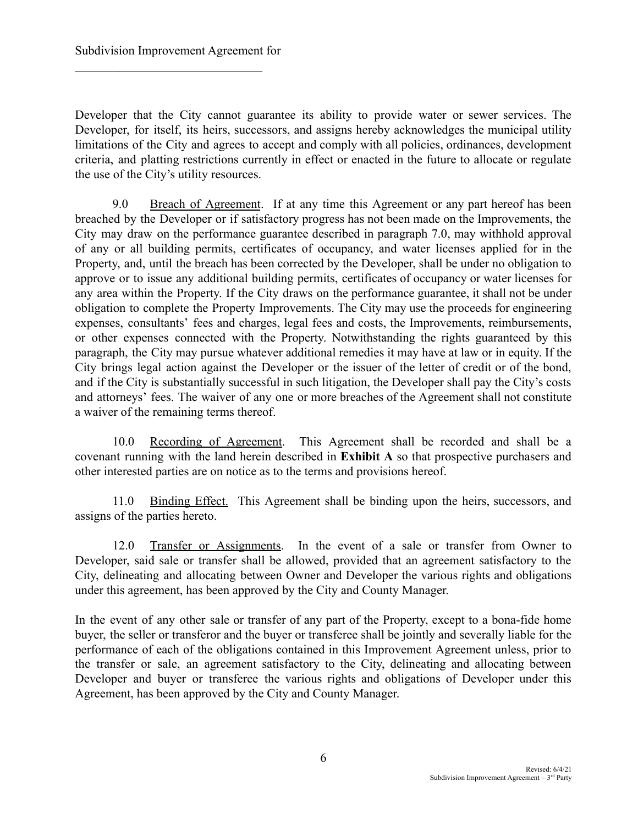Developer that the City cannot guarantee its ability to provide water or sewer services. The Developer, for itself, its heirs, successors, and assigns hereby acknowledges the municipal utility limitations of the City and agrees to accept and comply with all policies, ordinances, development criteria, and platting restrictions currently in effect or enacted in the future to allocate or regulate the use of the City's utility resources.

9.0 Breach of Agreement. If at any time this Agreement or any part hereof has been breached by the Developer or if satisfactory progress has not been made on the Improvements, the City may draw on the performance guarantee described in paragraph 7.0, may withhold approval of any or all building permits, certificates of occupancy, and water licenses applied for in the Property, and, until the breach has been corrected by the Developer, shall be under no obligation to approve or to issue any additional building permits, certificates of occupancy or water licenses for any area within the Property. If the City draws on the performance guarantee, it shall not be under obligation to complete the Property Improvements. The City may use the proceeds for engineering expenses, consultants' fees and charges, legal fees and costs, the Improvements, reimbursements, or other expenses connected with the Property. Notwithstanding the rights guaranteed by this paragraph, the City may pursue whatever additional remedies it may have at law or in equity. If the City brings legal action against the Developer or the issuer of the letter of credit or of the bond, and if the City is substantially successful in such litigation, the Developer shall pay the City's costs and attorneys' fees. The waiver of any one or more breaches of the Agreement shall not constitute a waiver of the remaining terms thereof.

10.0 Recording of Agreement. This Agreement shall be recorded and shall be a covenant running with the land herein described in **Exhibit A** so that prospective purchasers and other interested parties are on notice as to the terms and provisions hereof.

11.0 Binding Effect. This Agreement shall be binding upon the heirs, successors, and assigns of the parties hereto.

12.0 Transfer or Assignments. In the event of a sale or transfer from Owner to Developer, said sale or transfer shall be allowed, provided that an agreement satisfactory to the City, delineating and allocating between Owner and Developer the various rights and obligations under this agreement, has been approved by the City and County Manager.

In the event of any other sale or transfer of any part of the Property, except to a bona-fide home buyer, the seller or transferor and the buyer or transferee shall be jointly and severally liable for the performance of each of the obligations contained in this Improvement Agreement unless, prior to the transfer or sale, an agreement satisfactory to the City, delineating and allocating between Developer and buyer or transferee the various rights and obligations of Developer under this Agreement, has been approved by the City and County Manager.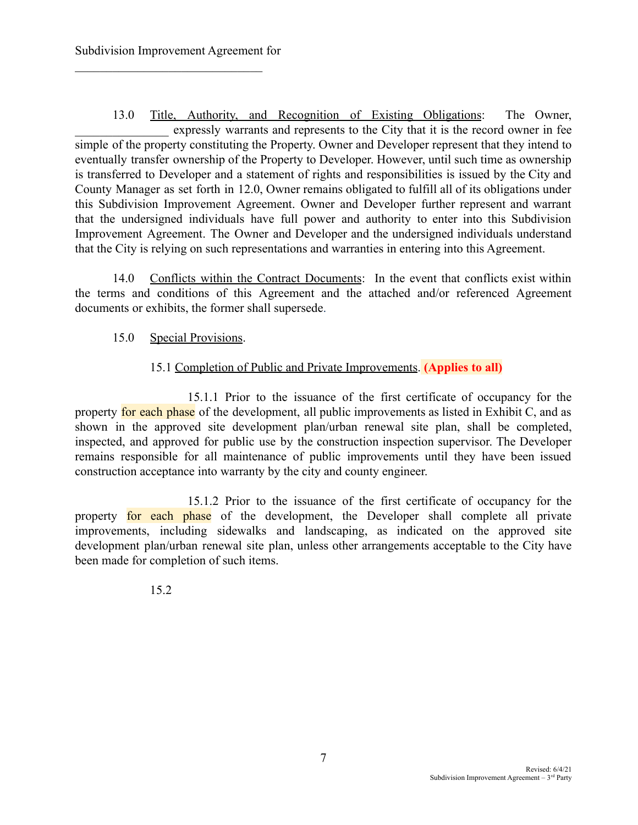13.0 Title, Authority, and Recognition of Existing Obligations: The Owner, expressly warrants and represents to the City that it is the record owner in fee simple of the property constituting the Property. Owner and Developer represent that they intend to eventually transfer ownership of the Property to Developer. However, until such time as ownership is transferred to Developer and a statement of rights and responsibilities is issued by the City and County Manager as set forth in 12.0, Owner remains obligated to fulfill all of its obligations under this Subdivision Improvement Agreement. Owner and Developer further represent and warrant that the undersigned individuals have full power and authority to enter into this Subdivision Improvement Agreement. The Owner and Developer and the undersigned individuals understand that the City is relying on such representations and warranties in entering into this Agreement.

14.0 Conflicts within the Contract Documents: In the event that conflicts exist within the terms and conditions of this Agreement and the attached and/or referenced Agreement documents or exhibits, the former shall supersede.

## 15.0 Special Provisions.

## 15.1 Completion of Public and Private Improvements. **(Applies to all)**

15.1.1 Prior to the issuance of the first certificate of occupancy for the property for each phase of the development, all public improvements as listed in Exhibit C, and as shown in the approved site development plan/urban renewal site plan, shall be completed, inspected, and approved for public use by the construction inspection supervisor. The Developer remains responsible for all maintenance of public improvements until they have been issued construction acceptance into warranty by the city and county engineer.

15.1.2 Prior to the issuance of the first certificate of occupancy for the property for each phase of the development, the Developer shall complete all private improvements, including sidewalks and landscaping, as indicated on the approved site development plan/urban renewal site plan, unless other arrangements acceptable to the City have been made for completion of such items.

15.2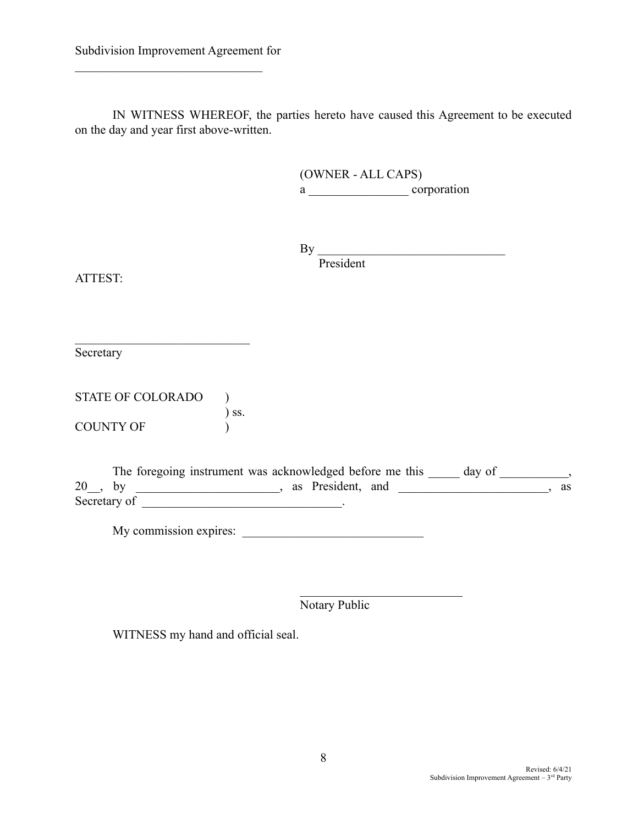IN WITNESS WHEREOF, the parties hereto have caused this Agreement to be executed on the day and year first above-written.

> (OWNER - ALL CAPS) a \_\_\_\_\_\_\_\_\_\_\_\_\_\_\_\_ corporation

 $\n By \n   
\n   
\n Figure 11.1$ President

ATTEST:

**Secretary** 

STATE OF COLORADO ) ) ss. COUNTY OF  $\qquad$  )

 $\mathcal{L}_\text{max}$ 

The foregoing instrument was acknowledged before me this \_\_\_\_\_ day of \_\_\_\_\_\_\_\_\_, 20 , by example and the set of the set of the set of the set of the set of the set of the set of the set of the set of the set of the set of the set of the set of the set of the set of the set of the set of the set of the Secretary of  $\blacksquare$ 

My commission expires: \_\_\_\_\_\_\_\_\_\_\_\_\_\_\_\_\_\_\_\_\_\_\_\_\_\_\_\_\_

 $\mathcal{L}_\text{max}$ Notary Public

WITNESS my hand and official seal.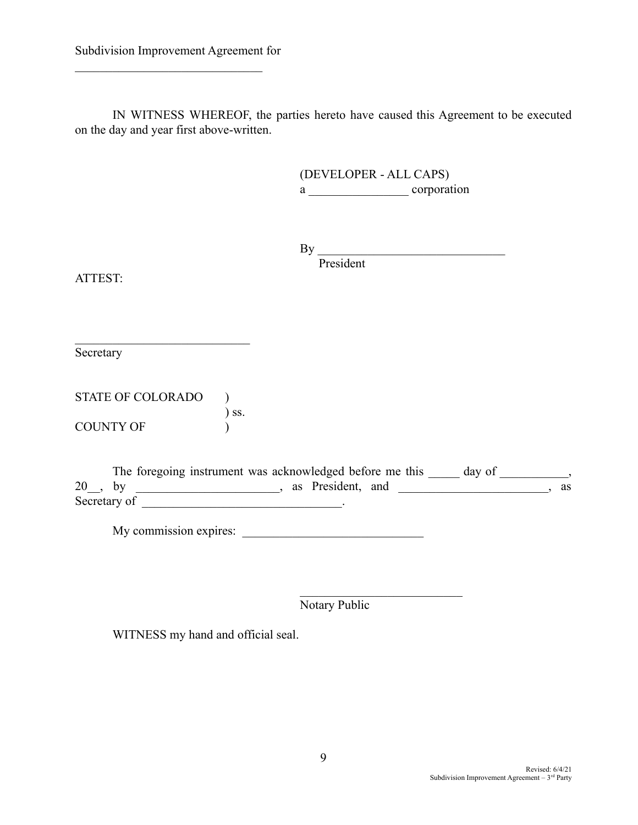IN WITNESS WHEREOF, the parties hereto have caused this Agreement to be executed on the day and year first above-written.

> (DEVELOPER - ALL CAPS) a \_\_\_\_\_\_\_\_\_\_\_\_\_\_\_\_ corporation

 $\n By \n   
\n   
\n Figure 11.1$ President

ATTEST:

**Secretary** 

STATE OF COLORADO ) ) ss. COUNTY OF  $\qquad$  )

 $\mathcal{L}_\text{max}$ 

The foregoing instrument was acknowledged before me this \_\_\_\_\_ day of \_\_\_\_\_\_\_\_\_, 20 , by example and the set of the set of the set of the set of the set of the set of the set of the set of the set of the set of the set of the set of the set of the set of the set of the set of the set of the set of the Secretary of  $\blacksquare$ 

My commission expires: \_\_\_\_\_\_\_\_\_\_\_\_\_\_\_\_\_\_\_\_\_\_\_\_\_\_\_\_\_

 $\mathcal{L}_\text{max}$ Notary Public

WITNESS my hand and official seal.